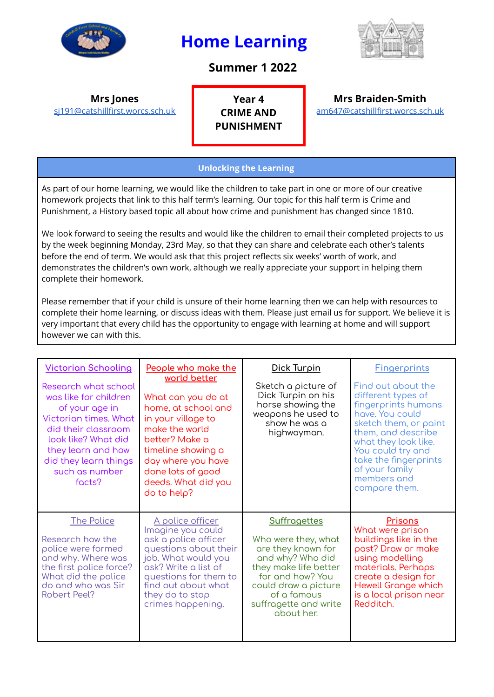

## **Home Learning**

## **Summer 1 2022**



## **Mrs Jones**

[sj191@catshillfirst.worcs.sch.uk](mailto:sj191@catshillfirst.worcs.sch.uk)

**Year 4 CRIME AND PUNISHMENT**

## **Mrs Braiden-Smith** [am647@catshillfirst.worcs.sch.uk](mailto:amb647@catshillfirst.worcs.sch.uk)

**Unlocking the Learning**

As part of our home learning, we would like the children to take part in one or more of our creative homework projects that link to this half term's learning. Our topic for this half term is Crime and Punishment, a History based topic all about how crime and punishment has changed since 1810.

We look forward to seeing the results and would like the children to email their completed projects to us by the week beginning Monday, 23rd May, so that they can share and celebrate each other's talents before the end of term. We would ask that this project reflects six weeks' worth of work, and demonstrates the children's own work, although we really appreciate your support in helping them complete their homework.

Please remember that if your child is unsure of their home learning then we can help with resources to complete their home learning, or discuss ideas with them. Please just email us for support. We believe it is very important that every child has the opportunity to engage with learning at home and will support however we can with this.

| <b>Victorian Schooling</b><br>Research what school<br>was like for children<br>of your age in<br>Victorian times. What<br>did their classroom<br>look like? What did<br>they learn and how<br>did they learn things<br>such as number<br>focts? | People who make the<br>world better<br>What can you do at<br>home, at school and<br>in your village to<br>make the world<br>better? Make a<br>timeline showing a<br>day where you have<br>done lots of good<br>deeds. What did you<br>do to help? | Dick Turpin<br>Sketch a picture of<br>Dick Turpin on his<br>horse showing the<br>weapons he used to<br>show he was a<br>highwayman.                                                                             | <b>Fingerprints</b><br>Find out about the<br>different types of<br>fingerprints humans<br>have. You could<br>sketch them, or paint<br>them, and describe<br>what they look like.<br>You could try and<br>take the fingerprints<br>of your family<br>members and<br>compare them. |
|-------------------------------------------------------------------------------------------------------------------------------------------------------------------------------------------------------------------------------------------------|---------------------------------------------------------------------------------------------------------------------------------------------------------------------------------------------------------------------------------------------------|-----------------------------------------------------------------------------------------------------------------------------------------------------------------------------------------------------------------|----------------------------------------------------------------------------------------------------------------------------------------------------------------------------------------------------------------------------------------------------------------------------------|
| <b>The Police</b><br>Research how the<br>police were formed<br>and why. Where was<br>the first police force?<br>What did the police<br>do and who was Sir<br><b>Robert Peel?</b>                                                                | A police officer<br>Imagine you could<br>ask a police officer<br>questions about their<br>job. What would you<br>ask? Write a list of<br>questions for them to<br>find out about what<br>they do to stop<br>crimes happening.                     | <b>Suffragettes</b><br>Who were they, what<br>are they known for<br>and why? Who did<br>they make life better<br>for and how? You<br>could draw a picture<br>of a famous<br>suffragette and write<br>about her. | Prisons<br>What were prison<br>buildings like in the<br>past? Draw or make<br>using modelling<br>materials. Perhaps<br>create a design for<br><b>Hewell Grange which</b><br>is a local prison near<br>Redditch.                                                                  |